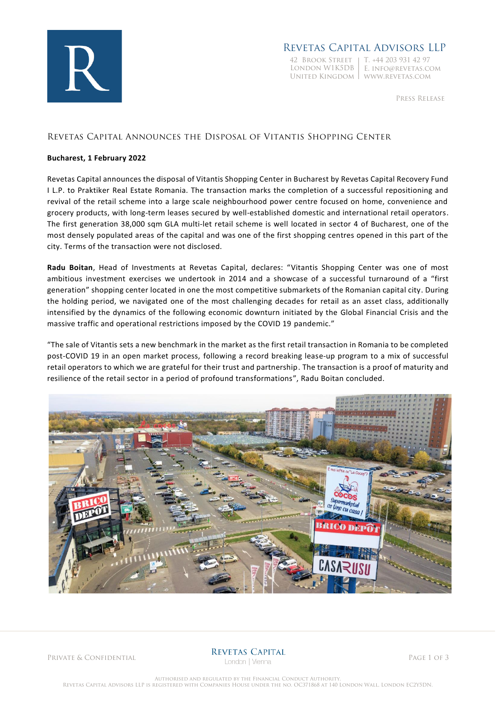

### Revetas Capital Advisors LLP

42 Brook Street T. +44 203 931 42 97 London W1K5DB E. info@revetas.com United Kingdom www.revetas.com

Press Release

### Revetas Capital Announces the Disposal of Vitantis Shopping Center

#### **Bucharest, 1 February 2022**

Revetas Capital announces the disposal of Vitantis Shopping Center in Bucharest by Revetas Capital Recovery Fund I L.P. to Praktiker Real Estate Romania. The transaction marks the completion of a successful repositioning and revival of the retail scheme into a large scale neighbourhood power centre focused on home, convenience and grocery products, with long-term leases secured by well-established domestic and international retail operators. The first generation 38,000 sqm GLA multi-let retail scheme is well located in sector 4 of Bucharest, one of the most densely populated areas of the capital and was one of the first shopping centres opened in this part of the city. Terms of the transaction were not disclosed.

**Radu Boitan**, Head of Investments at Revetas Capital, declares: "Vitantis Shopping Center was one of most ambitious investment exercises we undertook in 2014 and a showcase of a successful turnaround of a "first generation" shopping center located in one the most competitive submarkets of the Romanian capital city. During the holding period, we navigated one of the most challenging decades for retail as an asset class, additionally intensified by the dynamics of the following economic downturn initiated by the Global Financial Crisis and the massive traffic and operational restrictions imposed by the COVID 19 pandemic."

"The sale of Vitantis sets a new benchmark in the market as the first retail transaction in Romania to be completed post-COVID 19 in an open market process, following a record breaking lease-up program to a mix of successful retail operators to which we are grateful for their trust and partnership. The transaction is a proof of maturity and resilience of the retail sector in a period of profound transformations", Radu Boitan concluded.



PRIVATE & CONFIDENTIAL **REVETAS CAPITAL**<br>Page 1 of 3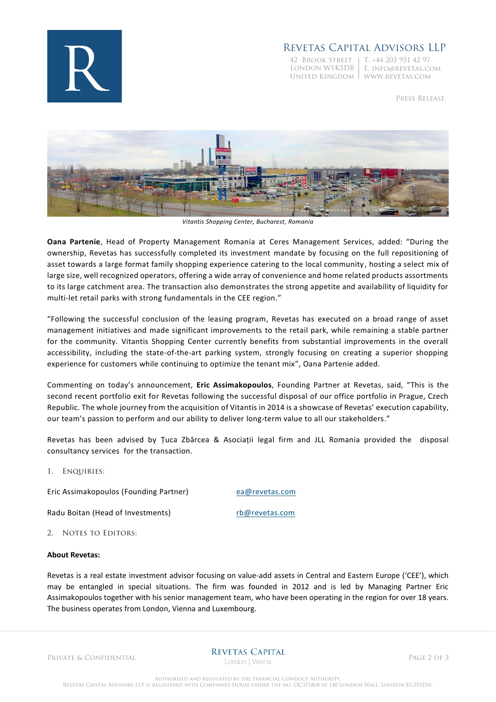

# Revetas Capital Advisors LLP

42 Brook Street T. +44 203 931 42 97

London W1K5DB E. info@revetas.com United Kingdom www.revetas.com

Press Release



*Vitantis Shopping Center, Bucharest, Romania*

**Oana Partenie**, Head of Property Management Romania at Ceres Management Services, added: "During the ownership, Revetas has successfully completed its investment mandate by focusing on the full repositioning of asset towards a large format family shopping experience catering to the local community , hosting a select mix of large size, well recognized operators, offering a wide array of convenience and home related products assortments to its large catchment area. The transaction also demonstrates the strong appetite and availability of liquidity for multi-let retail parks with strong fundamentals in the CEE region."

"Following the successful conclusion of the leasing program, Revetas has executed on a broad range of asset management initiatives and made significant improvements to the retail park, while remaining a stable partner for the community. Vitantis Shopping Center currently benefits from substantial improvements in the overall accessibility, including the state-of-the-art parking system, strongly focusing on creating a superior shopping experience for customers while continuing to optimize the tenant mix", Oana Partenie added.

Commenting on today's announcement, **Eric Assimakopoulos**, Founding Partner at Revetas, said, "This is the second recent portfolio exit for Revetas following the successful disposal of our office portfolio in Prague, Czech Republic. The whole journey from the acquisition of Vitantis in 2014 is a showcase of Revetas' execution capability, our team's passion to perform and our ability to deliver long-term value to all our stakeholders."

Revetas has been advised by Țuca Zbârcea & Asociații legal firm and JLL Romania provided the disposal consultancy services for the transaction.

1. Enquiries:

Eric Assimakopoulos (Founding Partner) [ea@revetas.com](mailto:ea@revetas.com)

Radu Boitan (Head of Investments) [rb@revetas.com](mailto:rb@revetas.com)

2. NOTES TO EDITORS:

#### **About Revetas:**

Revetas is a real estate investment advisor focusing on value-add assets in Central and Eastern Europe ('CEE'), which may be entangled in special situations. The firm was founded in 2012 and is led by Managing Partner Eric Assimakopoulos together with his senior management team, who have been operating in the region for over 18 years. The business operates from London, Vienna and Luxembourg.